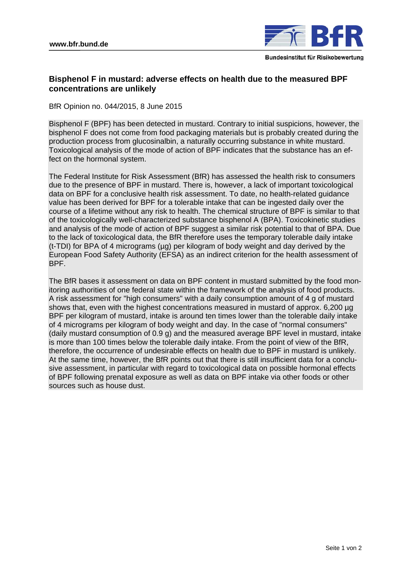

# **Bisphenol F in mustard: adverse effects on health due to the measured BPF concentrations are unlikely**

BfR Opinion no. 044/2015, 8 June 2015

Bisphenol F (BPF) has been detected in mustard. Contrary to initial suspicions, however, the bisphenol F does not come from food packaging materials but is probably created during the production process from glucosinalbin, a naturally occurring substance in white mustard. Toxicological analysis of the mode of action of BPF indicates that the substance has an effect on the hormonal system.

The Federal Institute for Risk Assessment (BfR) has assessed the health risk to consumers due to the presence of BPF in mustard. There is, however, a lack of important toxicological data on BPF for a conclusive health risk assessment. To date, no health-related guidance value has been derived for BPF for a tolerable intake that can be ingested daily over the course of a lifetime without any risk to health. The chemical structure of BPF is similar to that of the toxicologically well-characterized substance bisphenol A (BPA). Toxicokinetic studies and analysis of the mode of action of BPF suggest a similar risk potential to that of BPA. Due to the lack of toxicological data, the BfR therefore uses the temporary tolerable daily intake (t-TDI) for BPA of 4 micrograms (µg) per kilogram of body weight and day derived by the European Food Safety Authority (EFSA) as an indirect criterion for the health assessment of BPF.

The BfR bases it assessment on data on BPF content in mustard submitted by the food monitoring authorities of one federal state within the framework of the analysis of food products. A risk assessment for "high consumers" with a daily consumption amount of 4 g of mustard shows that, even with the highest concentrations measured in mustard of approx. 6,200 µg BPF per kilogram of mustard, intake is around ten times lower than the tolerable daily intake of 4 micrograms per kilogram of body weight and day. In the case of "normal consumers" (daily mustard consumption of 0.9 g) and the measured average BPF level in mustard, intake is more than 100 times below the tolerable daily intake. From the point of view of the BfR, therefore, the occurrence of undesirable effects on health due to BPF in mustard is unlikely. At the same time, however, the BfR points out that there is still insufficient data for a conclusive assessment, in particular with regard to toxicological data on possible hormonal effects of BPF following prenatal exposure as well as data on BPF intake via other foods or other sources such as house dust.